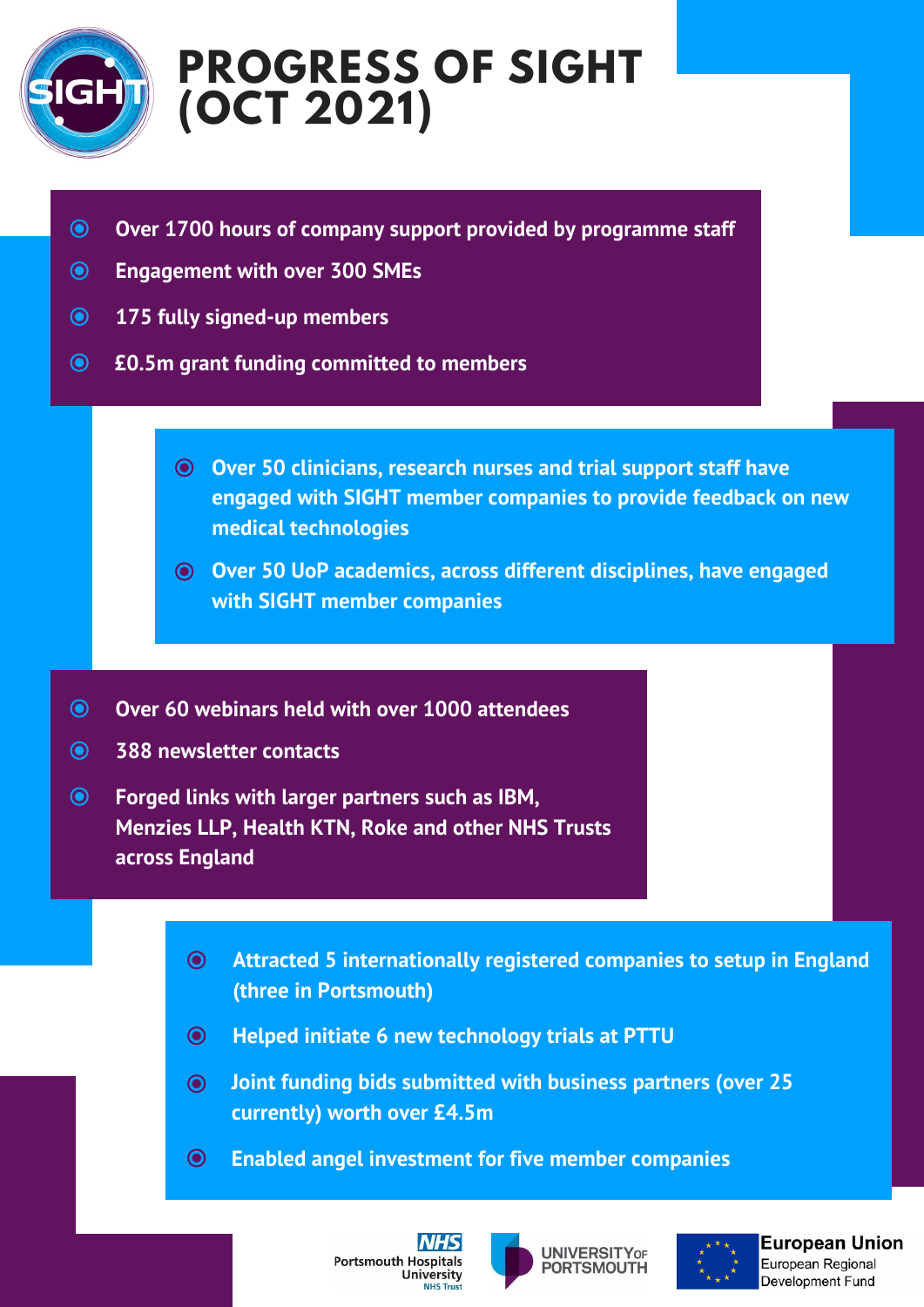

## **PROGRESS OF SIGHT (OCT 2021)**

- $\bigcirc$ **Over 1700 hours of company support provided by programme staff**
- $\odot$ **Engagement with over 300 SMEs** agement with over
- $\odot$ 152 fully signed-up members **175 fully signed-up members**
- $\bigcirc$ **£0.5m grant funding committed to members**
	- **Over 50 clinicians, research nurses and trial support staff have engaged with SIGHT member companies to provide feedback on new medical technologies**
	- **Over 50 UoP academics, across different disciplines, have engaged with SIGHT member companies**
- $\odot$ **Over 60 webinars held with over 1000 attendees**
- $\odot$ **388 newsletter contacts** THE WOLCHELL COTTLE
- $\odot$ **Forged links with larger partners such as IBM, Menzies LLP, Health KTN, Roke and other NHS Trusts across England**
	- $\odot$ **Attracted 5 internationally registered companies to setup in England (three in Portsmouth)**
	- $\odot$ **Helped initiate 6 new technology trials at PTTU**
	- **CO** Joint funding bids submitted with business partners (over 25 **currently) worth over £4.5m**
		- $\bigcirc$ **Enabled angel investment for five member companies**